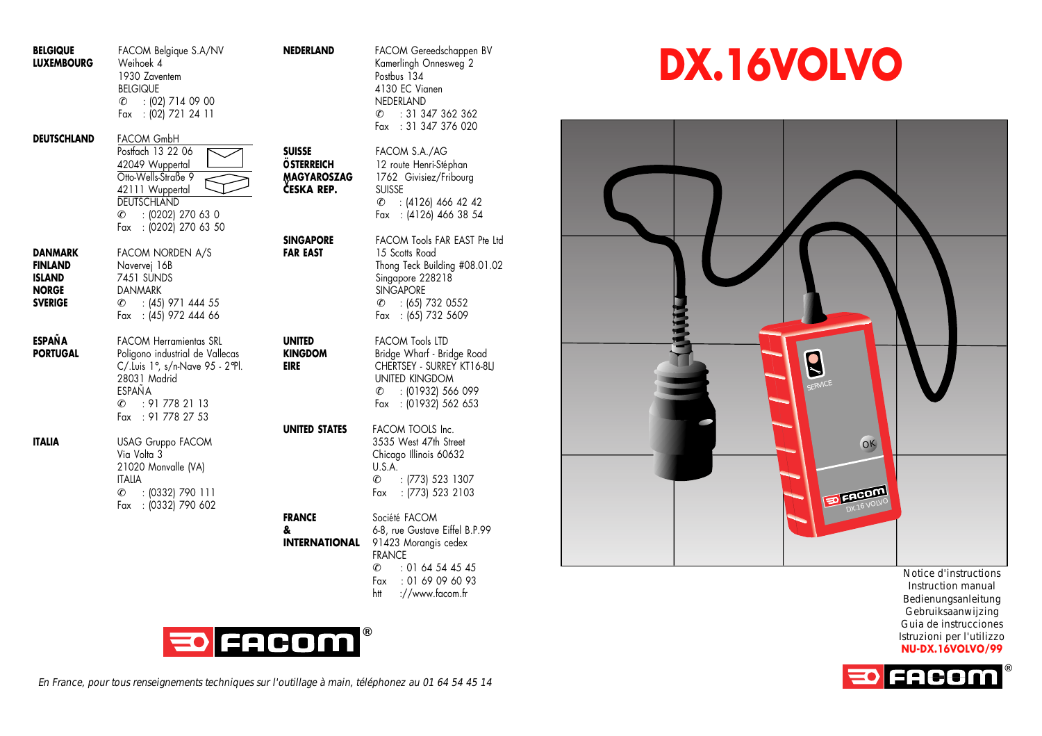| <b>BELGIQUE</b><br><b>LUXEMBOURG</b>                                         | FACOM Belgique S.A/NV<br>Weihoek 4<br>1930 Zaventem<br><b>BELGIQUE</b><br>$C = 102$ ] 714 09 00<br>Fax : (02) 721 24 11                                                    | <b>NEDERLAND</b>                                                | FACOM Gereedschappen BV<br>Kamerlingh Onnesweg 2<br>Postbus 134<br>4130 EC Vianen<br>NEDERLAND<br>: 31 347 362 362<br>C.<br>: 31 347 376 020<br>Fax                     |
|------------------------------------------------------------------------------|----------------------------------------------------------------------------------------------------------------------------------------------------------------------------|-----------------------------------------------------------------|-------------------------------------------------------------------------------------------------------------------------------------------------------------------------|
| DEUTSCHLAND                                                                  | <b>FACOM GmbH</b><br>Postfach 13 22 06<br>42049 Wuppertal<br>Otto-Wells-Straße 9<br>42111 Wuppertal<br>DEUTSCHLAND<br>: (0202) 270 63 0<br>C.<br>: (0202) 270 63 50<br>Fax | <b>SUISSE</b><br><b>ÖSTERREICH</b><br>MAGYAROSZAG<br>ČESKA REP. | FACOM S.A./AG<br>12 route Henri-Stéphan<br>1762 Givisiez/Fribourg<br>SUISSE<br>$C = (4126) 466 42 42$<br>Fax : (4126) 466 38 54                                         |
| DANMARK<br><b>FINLAND</b><br><b>ISLAND</b><br><b>NORGE</b><br><b>SVERIGE</b> | FACOM NORDEN A/S<br>Navervej 16B<br>7451 SUNDS<br>DANMARK<br>: (45) 971 444 55<br>c.<br>Fax : (45) 972 444 66                                                              | <b>SINGAPORE</b><br><b>FAR EAST</b>                             | FACOM Tools FAR EAST Pte Ltd<br>15 Scotts Road<br>Thong Teck Building #08.01.02<br>Singapore 228218<br><b>SINGAPORE</b><br>$C = (65) 732 0552$<br>Fax : (65) 732 5609   |
| <b>ESPAÑA</b><br><b>PORTUGAL</b>                                             | <b>FACOM Herramientas SRL</b><br>Poligono industrial de Vallecas<br>C/.Luis 1°, s/n-Nave 95 - 2°Pl.<br>28031 Madrid<br>ESPAÑA<br>: 917782113<br>C.<br>Fax : 91 778 27 53   | <b>UNITED</b><br><b>KINGDOM</b><br>EIRE                         | <b>FACOM Tools LTD</b><br>Bridge Wharf - Bridge Road<br>CHERTSEY - SURREY KT16-8LI<br>UNITED KINGDOM<br>$C = 101932$ 566 099<br>Fax : (01932) 562 653                   |
| <b>ITALIA</b>                                                                | <b>USAG Gruppo FACOM</b><br>Via Volta 3<br>21020 Monvalle (VA)<br><b>ITALIA</b><br>C.<br>: (0332) 790 111<br>Fax : (0332) 790 602                                          | UNITED STATES                                                   | FACOM TOOLS Inc.<br>3535 West 47th Street<br>Chicago Illinois 60632<br>U.S.A.<br>l.<br>: (773) 523 1307<br>: (773) 523 2103<br>Fax                                      |
|                                                                              |                                                                                                                                                                            | <b>FRANCE</b><br>&<br><b>INTERNATIONAL</b>                      | Société FACOM<br>6-8, rue Gustave Eiffel B.P.99<br>91423 Morangis cedex<br><b>FRANCE</b><br>: 01 64 54 45 45<br>c.<br>Fax<br>: 01 69 09 60 93<br>://www.facom.fr<br>htt |



En France, pour tous renseignements techniques sur l'outillage à main, téléphonez au 01 64 54 45 14

**DX.16VOLVO**



Notice d'instructions Instruction manual Bedienungsanleitung Gebruiksaanwijzing Guia de instrucciones Istruzioni per l'utilizzo **NU-DX.16VOLVO/99**